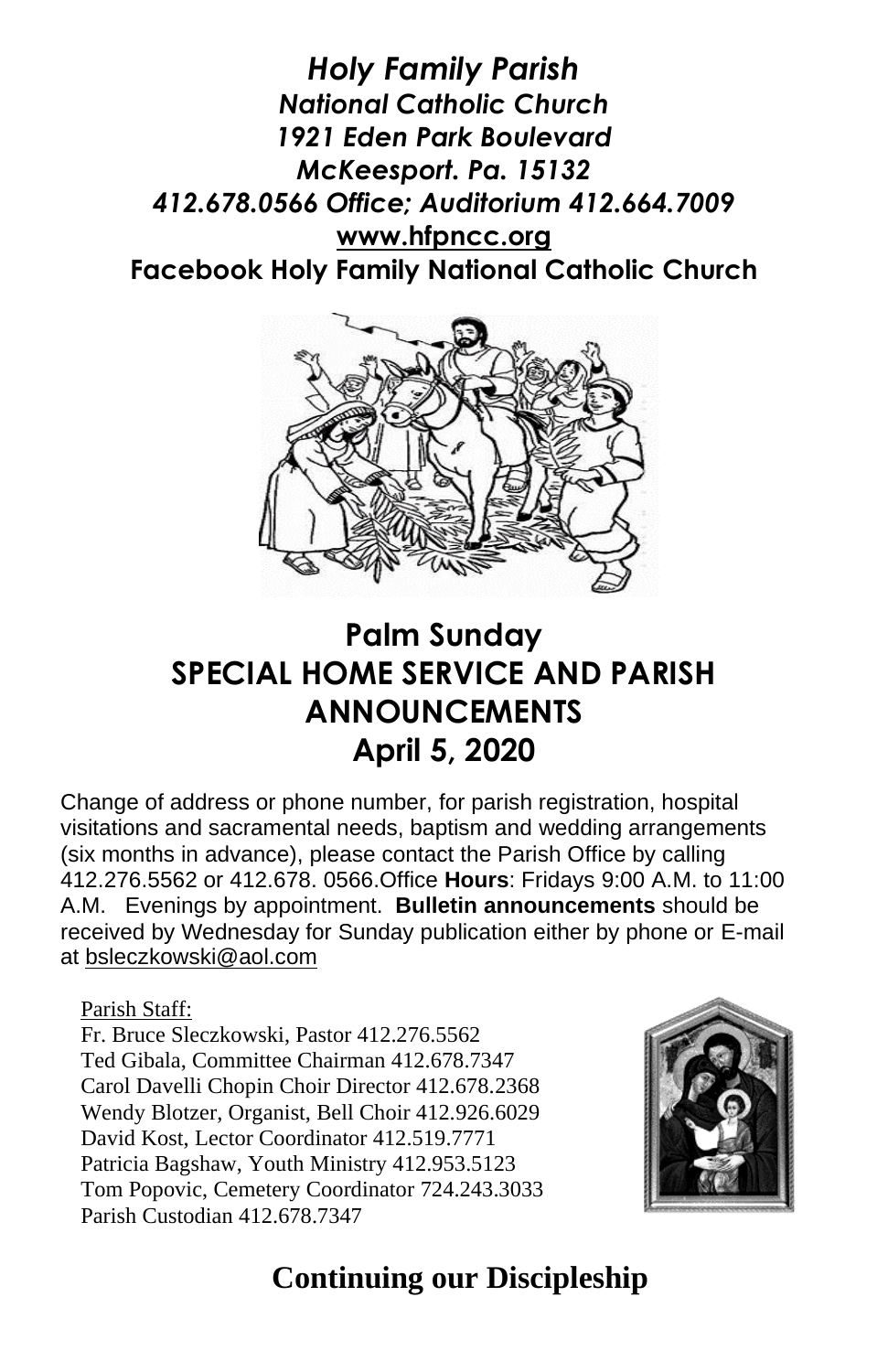*Holy Family Parish National Catholic Church 1921 Eden Park Boulevard McKeesport. Pa. 15132 412.678.0566 Office; Auditorium 412.664.7009* **[www.hfpncc.org](http://www.hfpncc.org/) Facebook Holy Family National Catholic Church**



# **Palm Sunday SPECIAL HOME SERVICE AND PARISH ANNOUNCEMENTS April 5, 2020**

Change of address or phone number, for parish registration, hospital visitations and sacramental needs, baptism and wedding arrangements (six months in advance), please contact the Parish Office by calling 412.276.5562 or 412.678. 0566.Office **Hours**: Fridays 9:00 A.M. to 11:00 A.M. Evenings by appointment. **Bulletin announcements** should be received by Wednesday for Sunday publication either by phone or E-mail at [bsleczkowski@aol.com](mailto:bsleczkowski@aol.com)

Parish Staff:

Fr. Bruce Sleczkowski, Pastor 412.276.5562 Ted Gibala, Committee Chairman 412.678.7347 Carol Davelli Chopin Choir Director 412.678.2368 Wendy Blotzer, Organist, Bell Choir 412.926.6029 David Kost, Lector Coordinator 412.519.7771 Patricia Bagshaw, Youth Ministry 412.953.5123 Tom Popovic, Cemetery Coordinator 724.243.3033 Parish Custodian 412.678.7347



# **Continuing our Discipleship**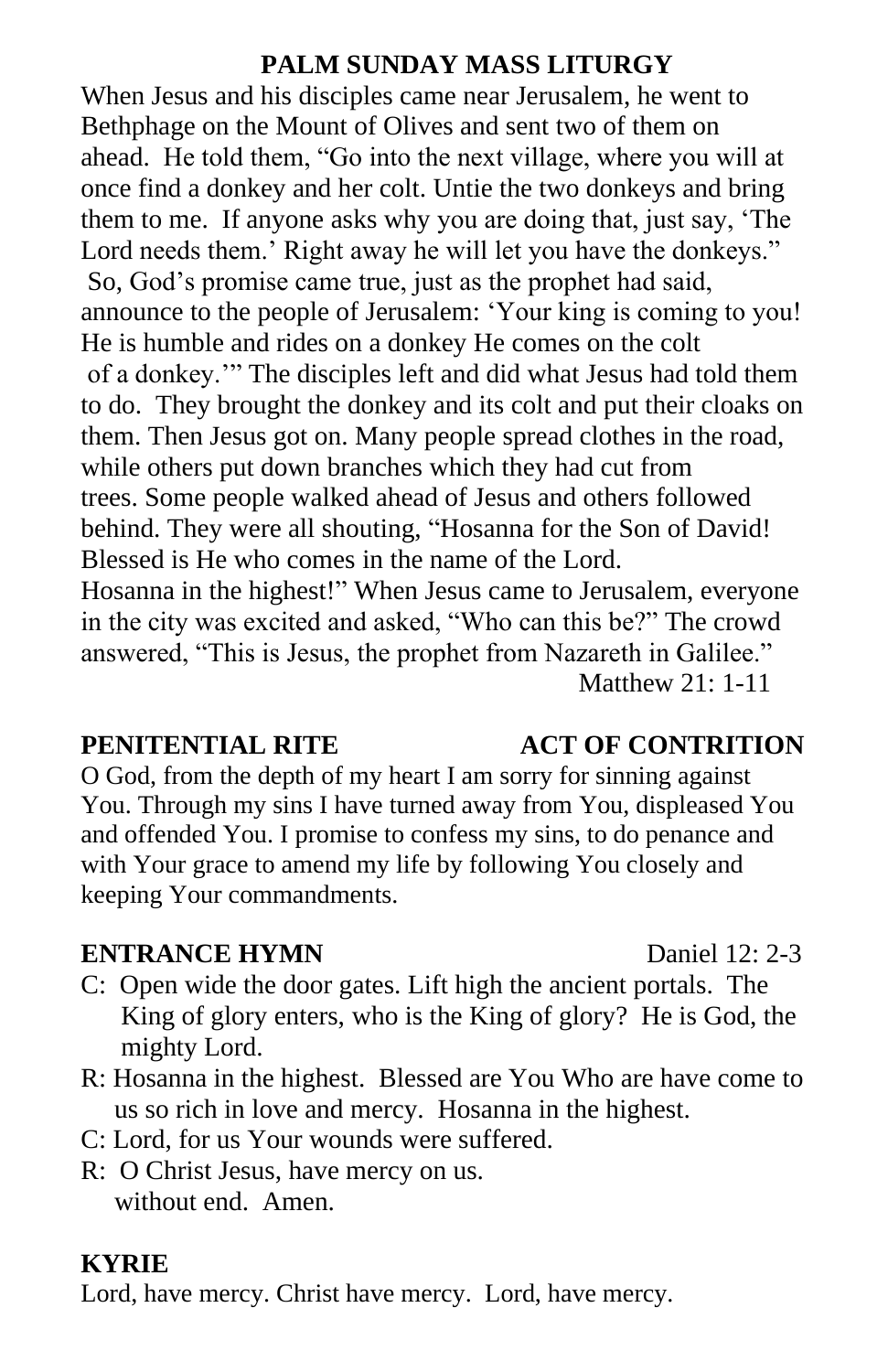## **PALM SUNDAY MASS LITURGY**

When Jesus and his disciples came near Jerusalem, he went to Bethphage on the Mount of Olives and sent two of them on ahead. He told them, "Go into the next village, where you will at once find a donkey and her colt. Untie the two donkeys and bring them to me. If anyone asks why you are doing that, just say, 'The Lord needs them.' Right away he will let you have the donkeys." So, God's promise came true, just as the prophet had said, announce to the people of Jerusalem: 'Your king is coming to you! He is humble and rides on a donkey He comes on the colt of a donkey.'" The disciples left and did what Jesus had told them to do. They brought the donkey and its colt and put their cloaks on them. Then Jesus got on. Many people spread clothes in the road, while others put down branches which they had cut from trees. Some people walked ahead of Jesus and others followed behind. They were all shouting, "Hosanna for the Son of David! Blessed is He who comes in the name of the Lord. Hosanna in the highest!" When Jesus came to Jerusalem, everyone in the city was excited and asked, "Who can this be?" The crowd answered, "This is Jesus, the prophet from Nazareth in Galilee." Matthew 21: 1-11

O God, from the depth of my heart I am sorry for sinning against You. Through my sins I have turned away from You, displeased You and offended You. I promise to confess my sins, to do penance and with Your grace to amend my life by following You closely and keeping Your commandments.

### **ENTRANCE HYMN** Daniel 12: 2-3

- C: Open wide the door gates. Lift high the ancient portals. The King of glory enters, who is the King of glory? He is God, the mighty Lord.
- R: Hosanna in the highest. Blessed are You Who are have come to us so rich in love and mercy. Hosanna in the highest.
- C: Lord, for us Your wounds were suffered.
- R: O Christ Jesus, have mercy on us. without end. Amen.

### **KYRIE**

Lord, have mercy. Christ have mercy. Lord, have mercy.

## **PENITENTIAL RITE ACT OF CONTRITION**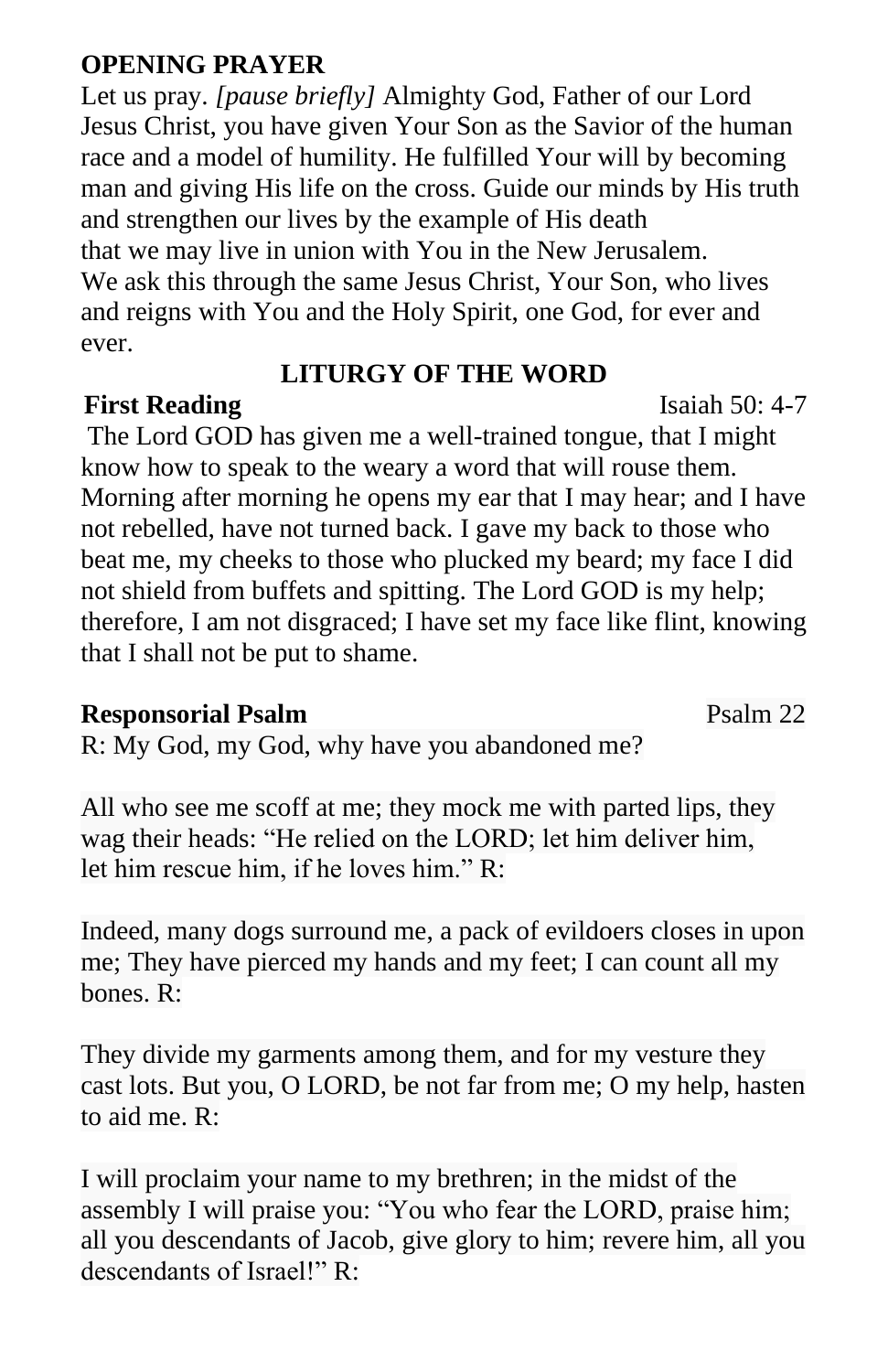## **OPENING PRAYER**

Let us pray. *[pause briefly]* Almighty God, Father of our Lord Jesus Christ, you have given Your Son as the Savior of the human race and a model of humility. He fulfilled Your will by becoming man and giving His life on the cross. Guide our minds by His truth and strengthen our lives by the example of His death that we may live in union with You in the New Jerusalem. We ask this through the same Jesus Christ, Your Son, who lives and reigns with You and the Holy Spirit, one God, for ever and ever.

## **LITURGY OF THE WORD**

## **First Reading** Isaiah 50: 4-7

The Lord GOD has given me a well-trained tongue, that I might know how to speak to the weary a word that will rouse them. Morning after morning he opens my ear that I may hear; and I have not rebelled, have not turned back. I gave my back to those who beat me, my cheeks to those who plucked my beard; my face I did not shield from buffets and spitting. The Lord GOD is my help; therefore, I am not disgraced; I have set my face like flint, knowing that I shall not be put to shame.

## **Responsorial Psalm** Psalm 22

R: My God, my God, why have you abandoned me?

All who see me scoff at me; they mock me with parted lips, they wag their heads: "He relied on the LORD; let him deliver him, let him rescue him, if he loves him." R:

Indeed, many dogs surround me, a pack of evildoers closes in upon me; They have pierced my hands and my feet; I can count all my bones. R:

They divide my garments among them, and for my vesture they cast lots. But you, O LORD, be not far from me; O my help, hasten to aid me. R:

I will proclaim your name to my brethren; in the midst of the assembly I will praise you: "You who fear the LORD, praise him; all you descendants of Jacob, give glory to him; revere him, all you descendants of Israel!" R: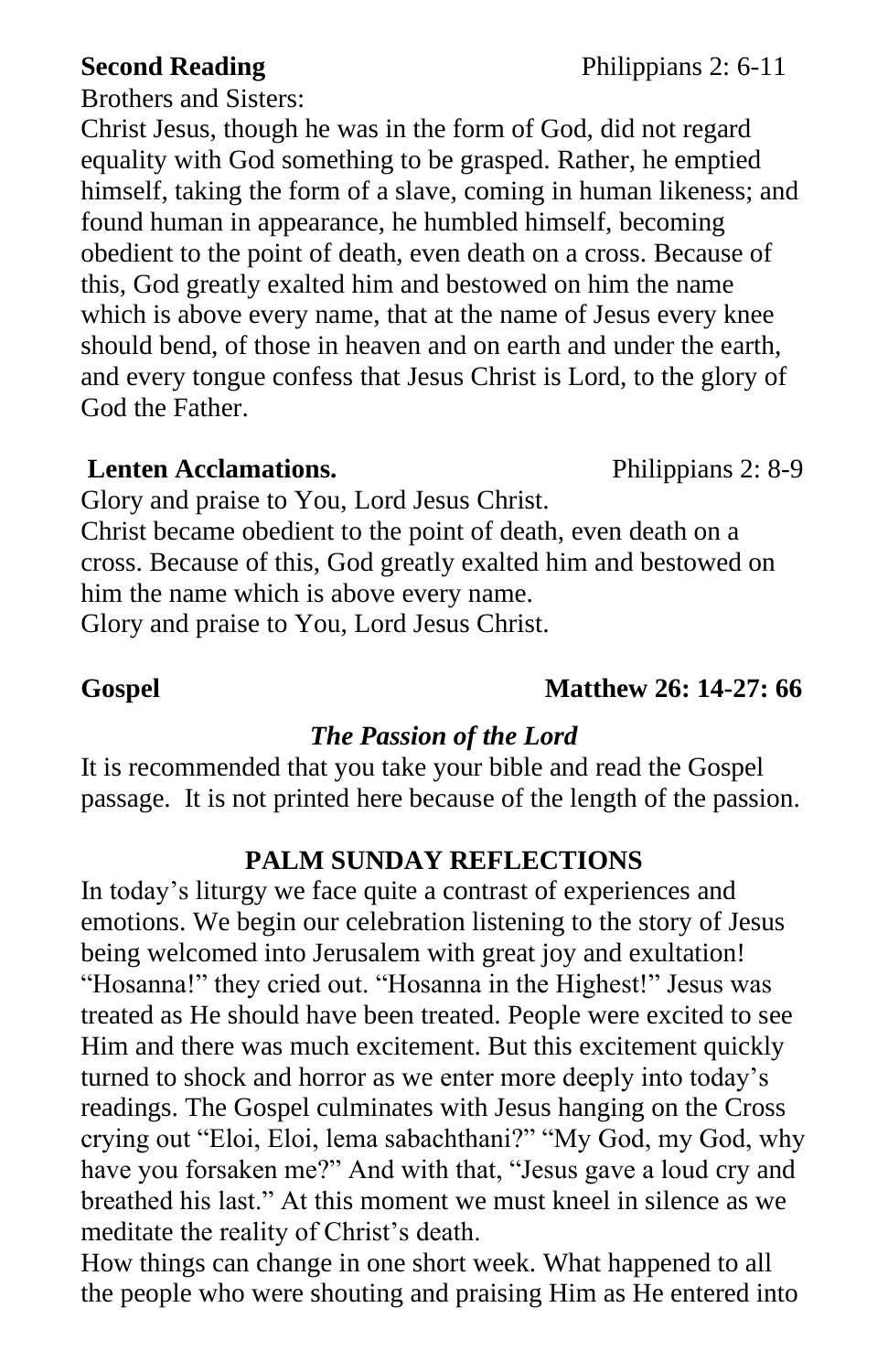Brothers and Sisters:

Christ Jesus, though he was in the form of God, did not regard equality with God something to be grasped. Rather, he emptied himself, taking the form of a slave, coming in human likeness; and found human in appearance, he humbled himself, becoming obedient to the point of death, even death on a cross. Because of this, God greatly exalted him and bestowed on him the name which is above every name, that at the name of Jesus every knee should bend, of those in heaven and on earth and under the earth, and every tongue confess that Jesus Christ is Lord, to the glory of God the Father.

### **Lenten Acclamations.** Philippians 2: 8-9

Glory and praise to You, Lord Jesus Christ.

Christ became obedient to the point of death, even death on a cross. Because of this, God greatly exalted him and bestowed on him the name which is above every name. Glory and praise to You, Lord Jesus Christ.

# **Gospel Matthew 26: 14-27: 66**

## *The Passion of the Lord*

It is recommended that you take your bible and read the Gospel passage. It is not printed here because of the length of the passion.

## **PALM SUNDAY REFLECTIONS**

In today's liturgy we face quite a contrast of experiences and emotions. We begin our celebration listening to the story of Jesus being welcomed into Jerusalem with great joy and exultation! "Hosanna!" they cried out. "Hosanna in the Highest!" Jesus was treated as He should have been treated. People were excited to see Him and there was much excitement. But this excitement quickly turned to shock and horror as we enter more deeply into today's readings. The Gospel culminates with Jesus hanging on the Cross crying out "Eloi, Eloi, lema sabachthani?" "My God, my God, why have you forsaken me?" And with that, "Jesus gave a loud cry and breathed his last." At this moment we must kneel in silence as we meditate the reality of Christ's death.

How things can change in one short week. What happened to all the people who were shouting and praising Him as He entered into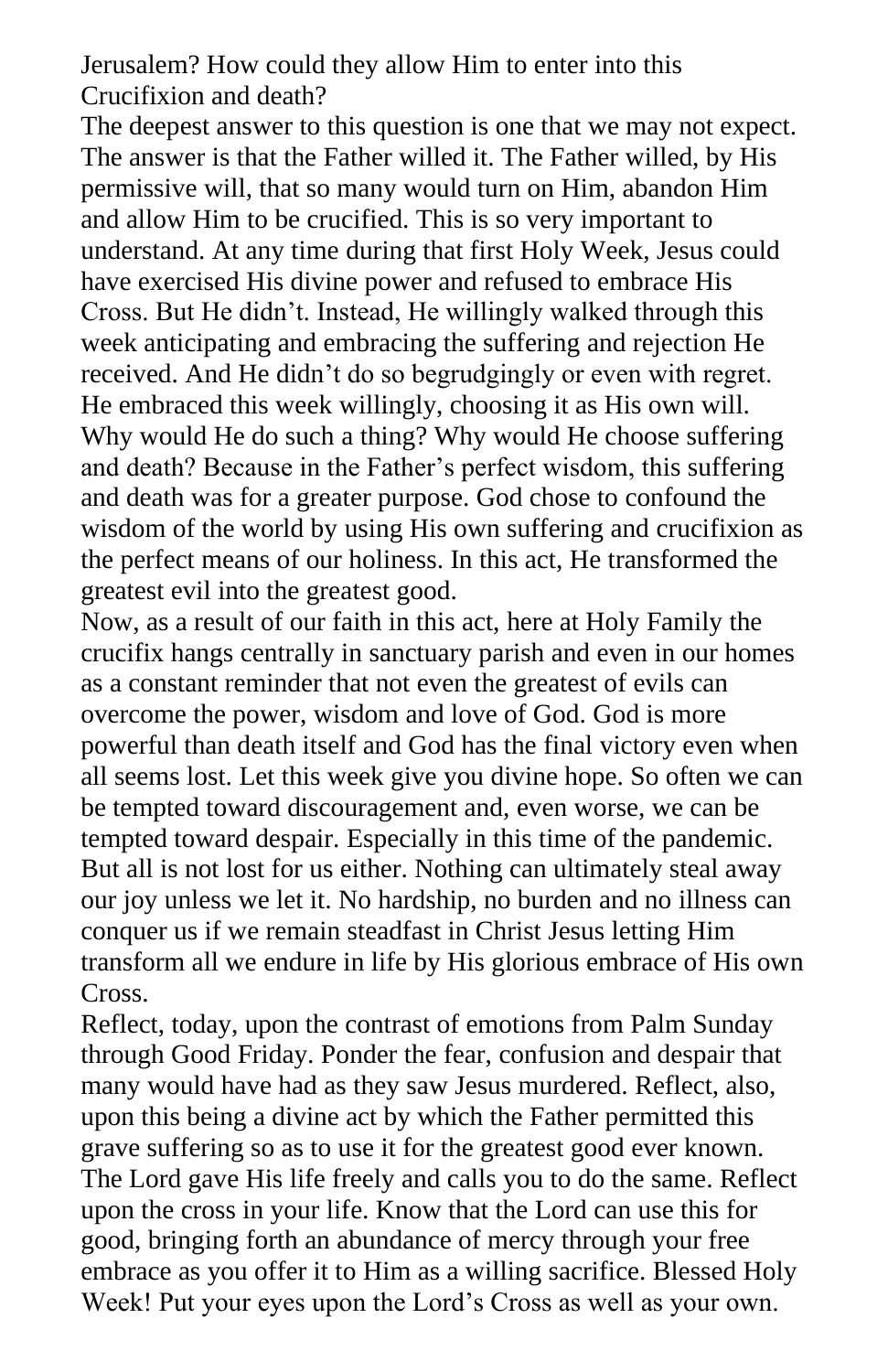Jerusalem? How could they allow Him to enter into this Crucifixion and death?

The deepest answer to this question is one that we may not expect. The answer is that the Father willed it. The Father willed, by His permissive will, that so many would turn on Him, abandon Him and allow Him to be crucified. This is so very important to understand. At any time during that first Holy Week, Jesus could have exercised His divine power and refused to embrace His Cross. But He didn't. Instead, He willingly walked through this week anticipating and embracing the suffering and rejection He received. And He didn't do so begrudgingly or even with regret. He embraced this week willingly, choosing it as His own will. Why would He do such a thing? Why would He choose suffering and death? Because in the Father's perfect wisdom, this suffering and death was for a greater purpose. God chose to confound the wisdom of the world by using His own suffering and crucifixion as the perfect means of our holiness. In this act, He transformed the greatest evil into the greatest good.

Now, as a result of our faith in this act, here at Holy Family the crucifix hangs centrally in sanctuary parish and even in our homes as a constant reminder that not even the greatest of evils can overcome the power, wisdom and love of God. God is more powerful than death itself and God has the final victory even when all seems lost. Let this week give you divine hope. So often we can be tempted toward discouragement and, even worse, we can be tempted toward despair. Especially in this time of the pandemic. But all is not lost for us either. Nothing can ultimately steal away our joy unless we let it. No hardship, no burden and no illness can conquer us if we remain steadfast in Christ Jesus letting Him transform all we endure in life by His glorious embrace of His own Cross.

Reflect, today, upon the contrast of emotions from Palm Sunday through Good Friday. Ponder the fear, confusion and despair that many would have had as they saw Jesus murdered. Reflect, also, upon this being a divine act by which the Father permitted this grave suffering so as to use it for the greatest good ever known. The Lord gave His life freely and calls you to do the same. Reflect upon the cross in your life. Know that the Lord can use this for good, bringing forth an abundance of mercy through your free embrace as you offer it to Him as a willing sacrifice. Blessed Holy Week! Put your eyes upon the Lord's Cross as well as your own.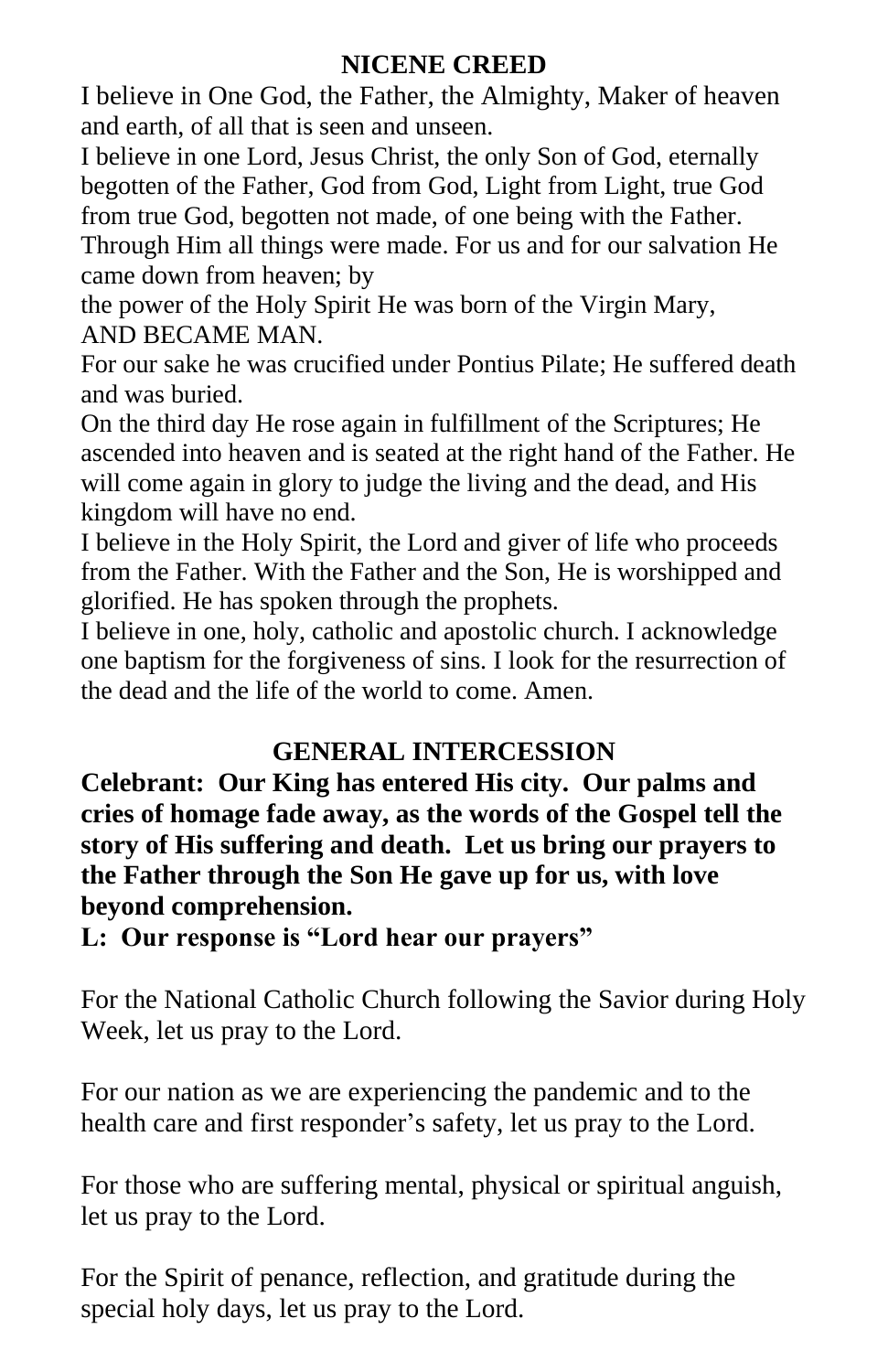## **NICENE CREED**

I believe in One God, the Father, the Almighty, Maker of heaven and earth, of all that is seen and unseen.

I believe in one Lord, Jesus Christ, the only Son of God, eternally begotten of the Father, God from God, Light from Light, true God from true God, begotten not made, of one being with the Father.

Through Him all things were made. For us and for our salvation He came down from heaven; by

the power of the Holy Spirit He was born of the Virgin Mary, AND BECAME MAN.

For our sake he was crucified under Pontius Pilate; He suffered death and was buried.

On the third day He rose again in fulfillment of the Scriptures; He ascended into heaven and is seated at the right hand of the Father. He will come again in glory to judge the living and the dead, and His kingdom will have no end.

I believe in the Holy Spirit, the Lord and giver of life who proceeds from the Father. With the Father and the Son, He is worshipped and glorified. He has spoken through the prophets.

I believe in one, holy, catholic and apostolic church. I acknowledge one baptism for the forgiveness of sins. I look for the resurrection of the dead and the life of the world to come. Amen.

# **GENERAL INTERCESSION**

**Celebrant: Our King has entered His city. Our palms and cries of homage fade away, as the words of the Gospel tell the story of His suffering and death. Let us bring our prayers to the Father through the Son He gave up for us, with love beyond comprehension.**

**L: Our response is "Lord hear our prayers"**

For the National Catholic Church following the Savior during Holy Week, let us pray to the Lord.

For our nation as we are experiencing the pandemic and to the health care and first responder's safety, let us pray to the Lord.

For those who are suffering mental, physical or spiritual anguish, let us pray to the Lord.

For the Spirit of penance, reflection, and gratitude during the special holy days, let us pray to the Lord.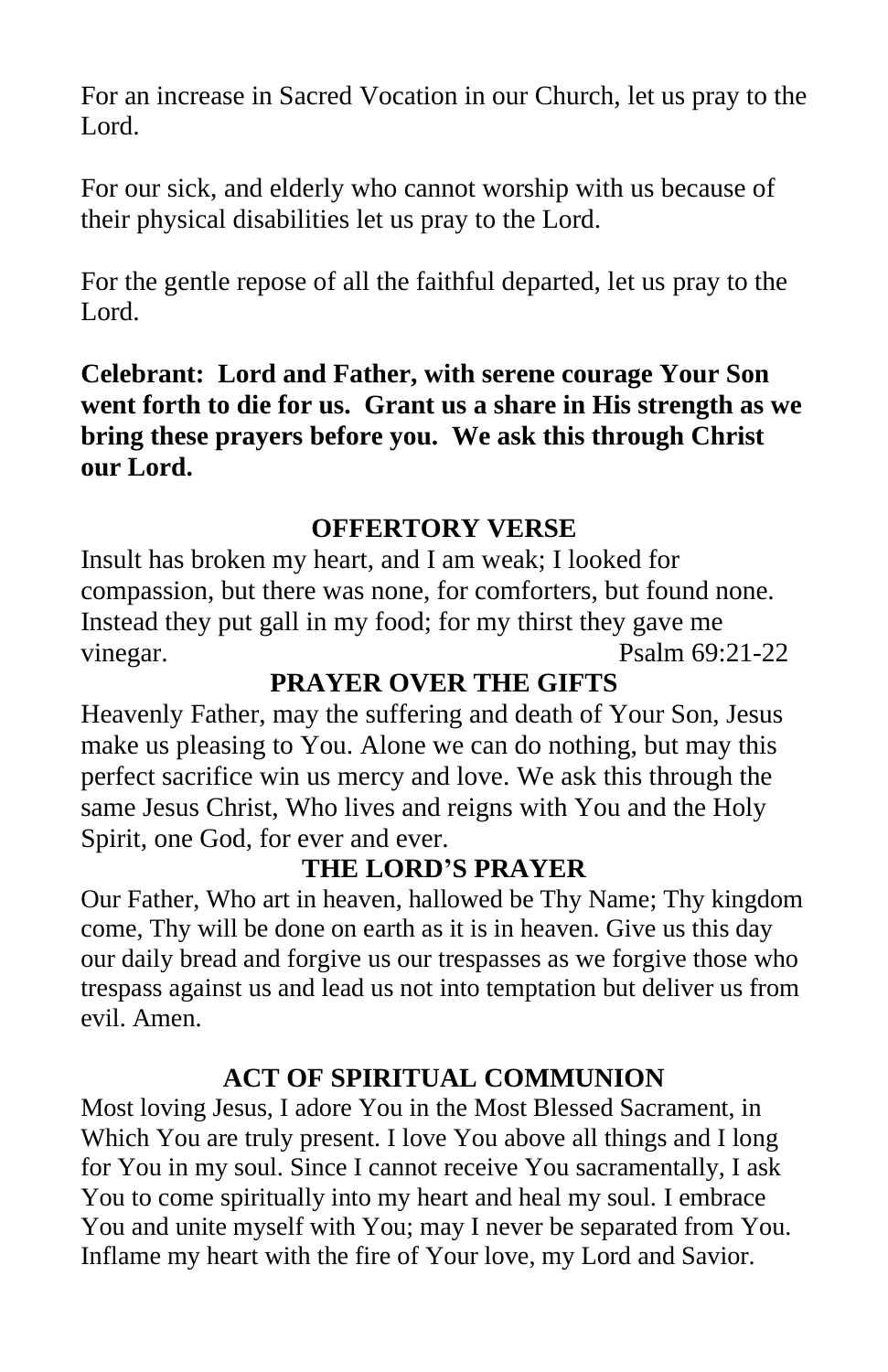For an increase in Sacred Vocation in our Church, let us pray to the Lord.

For our sick, and elderly who cannot worship with us because of their physical disabilities let us pray to the Lord.

For the gentle repose of all the faithful departed, let us pray to the Lord.

**Celebrant: Lord and Father, with serene courage Your Son went forth to die for us. Grant us a share in His strength as we bring these prayers before you. We ask this through Christ our Lord.**

### **OFFERTORY VERSE**

Insult has broken my heart, and I am weak; I looked for compassion, but there was none, for comforters, but found none. Instead they put gall in my food; for my thirst they gave me vinegar. Psalm 69:21-22

### **PRAYER OVER THE GIFTS**

Heavenly Father, may the suffering and death of Your Son, Jesus make us pleasing to You. Alone we can do nothing, but may this perfect sacrifice win us mercy and love. We ask this through the same Jesus Christ, Who lives and reigns with You and the Holy Spirit, one God, for ever and ever.

## **THE LORD'S PRAYER**

Our Father, Who art in heaven, hallowed be Thy Name; Thy kingdom come, Thy will be done on earth as it is in heaven. Give us this day our daily bread and forgive us our trespasses as we forgive those who trespass against us and lead us not into temptation but deliver us from evil. Amen.

## **ACT OF SPIRITUAL COMMUNION**

Most loving Jesus, I adore You in the Most Blessed Sacrament, in Which You are truly present. I love You above all things and I long for You in my soul. Since I cannot receive You sacramentally, I ask You to come spiritually into my heart and heal my soul. I embrace You and unite myself with You; may I never be separated from You. Inflame my heart with the fire of Your love, my Lord and Savior.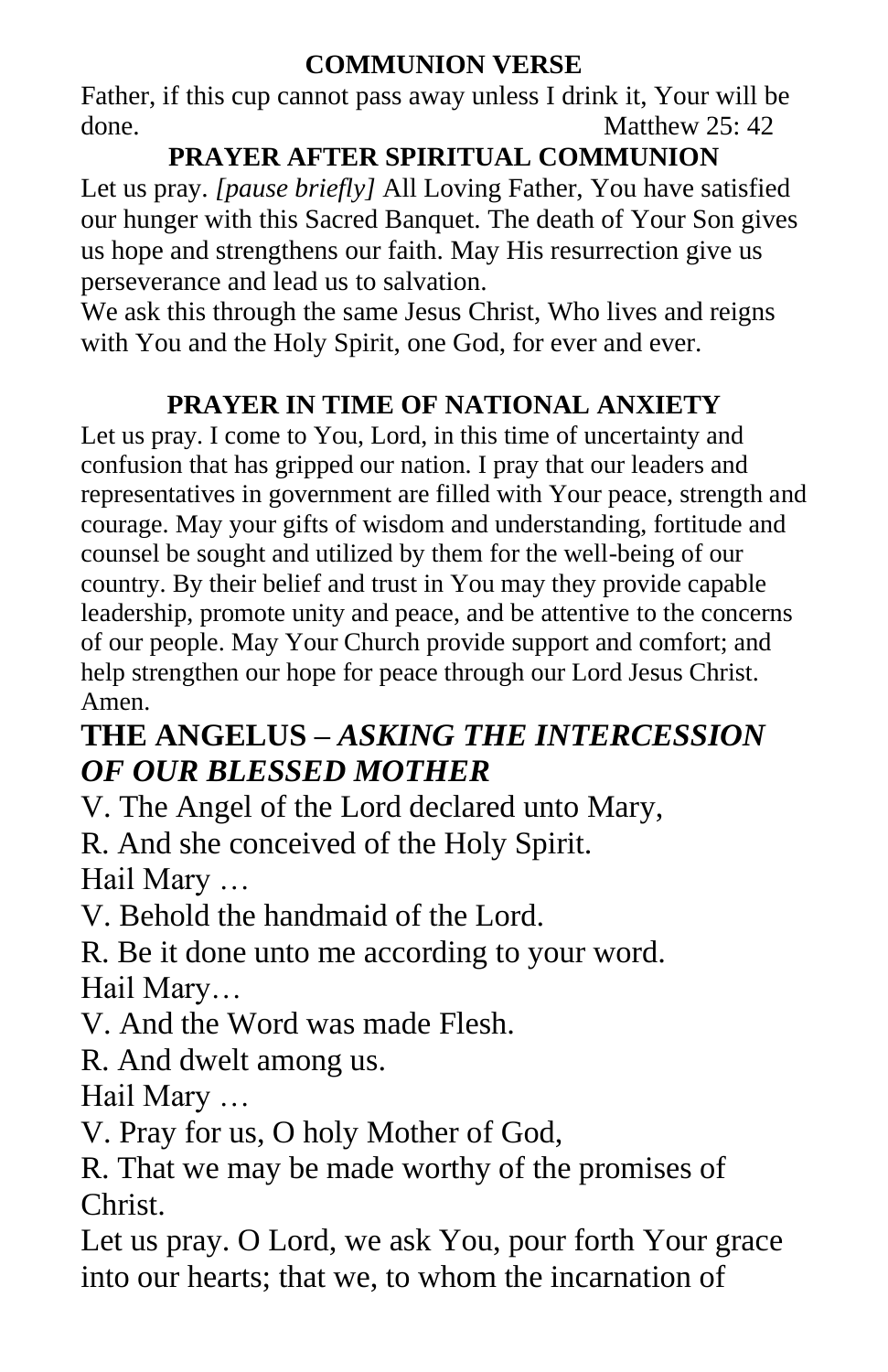## **COMMUNION VERSE**

Father, if this cup cannot pass away unless I drink it, Your will be done. Matthew 25: 42

**PRAYER AFTER SPIRITUAL COMMUNION** Let us pray. *[pause briefly]* All Loving Father, You have satisfied our hunger with this Sacred Banquet. The death of Your Son gives us hope and strengthens our faith. May His resurrection give us perseverance and lead us to salvation.

We ask this through the same Jesus Christ, Who lives and reigns with You and the Holy Spirit, one God, for ever and ever.

# **PRAYER IN TIME OF NATIONAL ANXIETY**

Let us pray. I come to You, Lord, in this time of uncertainty and confusion that has gripped our nation. I pray that our leaders and representatives in government are filled with Your peace, strength and courage. May your gifts of wisdom and understanding, fortitude and counsel be sought and utilized by them for the well-being of our country. By their belief and trust in You may they provide capable leadership, promote unity and peace, and be attentive to the concerns of our people. May Your Church provide support and comfort; and help strengthen our hope for peace through our Lord Jesus Christ. Amen.

# **THE ANGELUS –** *ASKING THE INTERCESSION OF OUR BLESSED MOTHER*

V. The Angel of the Lord declared unto Mary,

R. And she conceived of the Holy Spirit.

Hail Mary …

V. Behold the handmaid of the Lord.

R. Be it done unto me according to your word. Hail Mary…

V. And the Word was made Flesh.

R. And dwelt among us.

Hail Mary …

V. Pray for us, O holy Mother of God,

R. That we may be made worthy of the promises of Christ.

Let us pray. O Lord, we ask You, pour forth Your grace into our hearts; that we, to whom the incarnation of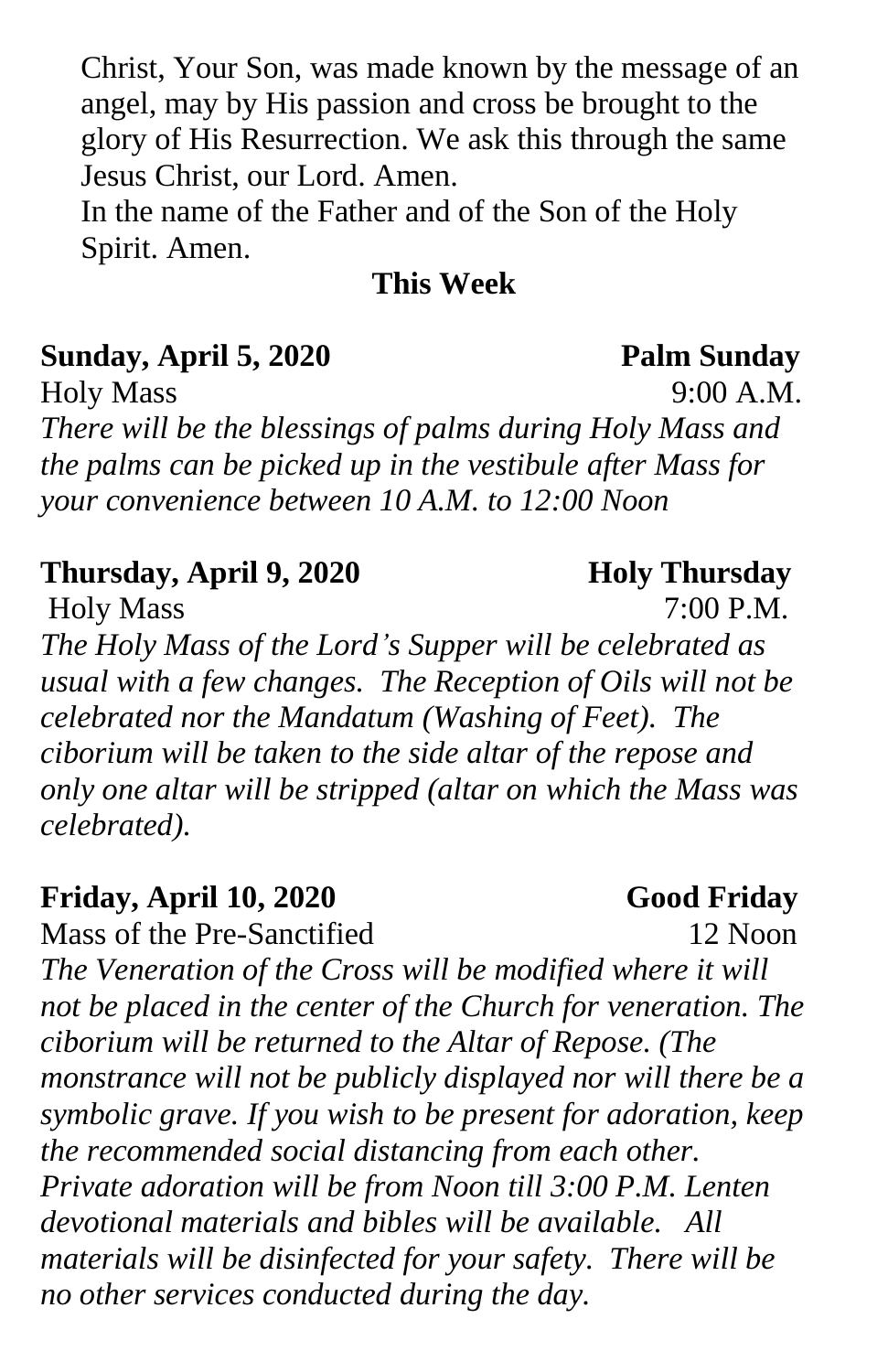Christ, Your Son, was made known by the message of an angel, may by His passion and cross be brought to the glory of His Resurrection. We ask this through the same Jesus Christ, our Lord. Amen.

In the name of the Father and of the Son of the Holy Spirit. Amen.

# **This Week**

## **Sunday, April 5, 2020 Palm Sunday**

Holy Mass 9:00 A.M. *There will be the blessings of palms during Holy Mass and the palms can be picked up in the vestibule after Mass for your convenience between 10 A.M. to 12:00 Noon*

# **Thursday, April 9, 2020 Holy Thursday**

Holy Mass 7:00 P.M.

*The Holy Mass of the Lord's Supper will be celebrated as usual with a few changes. The Reception of Oils will not be celebrated nor the Mandatum (Washing of Feet). The ciborium will be taken to the side altar of the repose and only one altar will be stripped (altar on which the Mass was celebrated).*

## **Friday, April 10, 2020 Good Friday**

Mass of the Pre-Sanctified 12 Noon *The Veneration of the Cross will be modified where it will not be placed in the center of the Church for veneration. The ciborium will be returned to the Altar of Repose. (The monstrance will not be publicly displayed nor will there be a symbolic grave. If you wish to be present for adoration, keep the recommended social distancing from each other. Private adoration will be from Noon till 3:00 P.M. Lenten devotional materials and bibles will be available. All materials will be disinfected for your safety. There will be no other services conducted during the day.*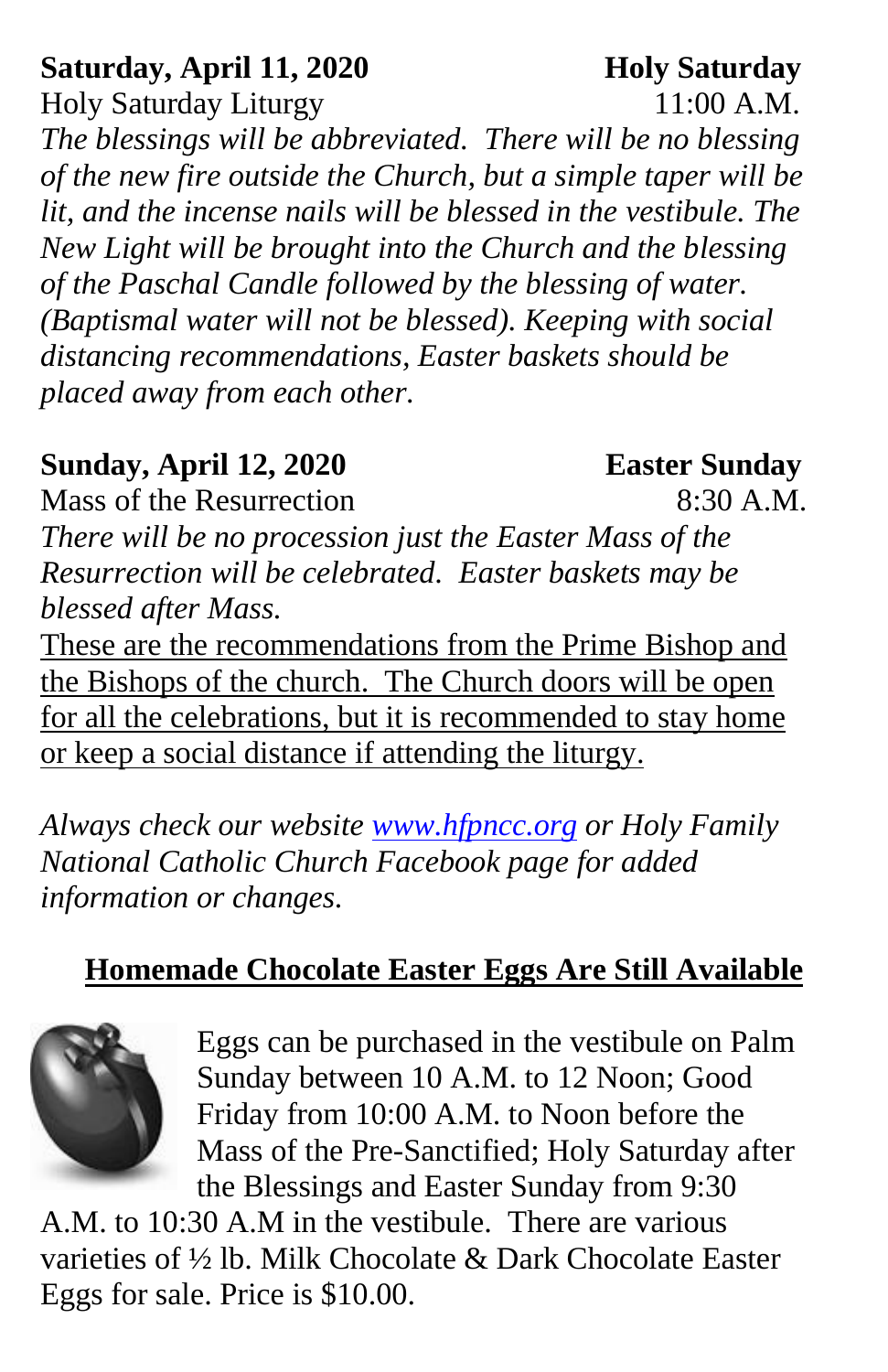# **Saturday, April 11, 2020 Holy Saturday**

Holy Saturday Liturgy 11:00 A.M. *The blessings will be abbreviated. There will be no blessing of the new fire outside the Church, but a simple taper will be lit, and the incense nails will be blessed in the vestibule. The New Light will be brought into the Church and the blessing of the Paschal Candle followed by the blessing of water. (Baptismal water will not be blessed). Keeping with social distancing recommendations, Easter baskets should be placed away from each other.*

# **Sunday, April 12, 2020 Easter Sunday**

Mass of the Resurrection 8:30 A.M.

*There will be no procession just the Easter Mass of the Resurrection will be celebrated. Easter baskets may be blessed after Mass.*

These are the recommendations from the Prime Bishop and the Bishops of the church. The Church doors will be open for all the celebrations, but it is recommended to stay home or keep a social distance if attending the liturgy.

*Always check our website [www.hfpncc.org](http://www.hfpncc.org/) or Holy Family National Catholic Church Facebook page for added information or changes.*

# **Homemade Chocolate Easter Eggs Are Still Available**



Eggs can be purchased in the vestibule on Palm Sunday between 10 A.M. to 12 Noon; Good Friday from 10:00 A.M. to Noon before the Mass of the Pre-Sanctified; Holy Saturday after the Blessings and Easter Sunday from 9:30

A.M. to 10:30 A.M in the vestibule. There are various varieties of ½ lb. Milk Chocolate & Dark Chocolate Easter Eggs for sale. Price is \$10.00.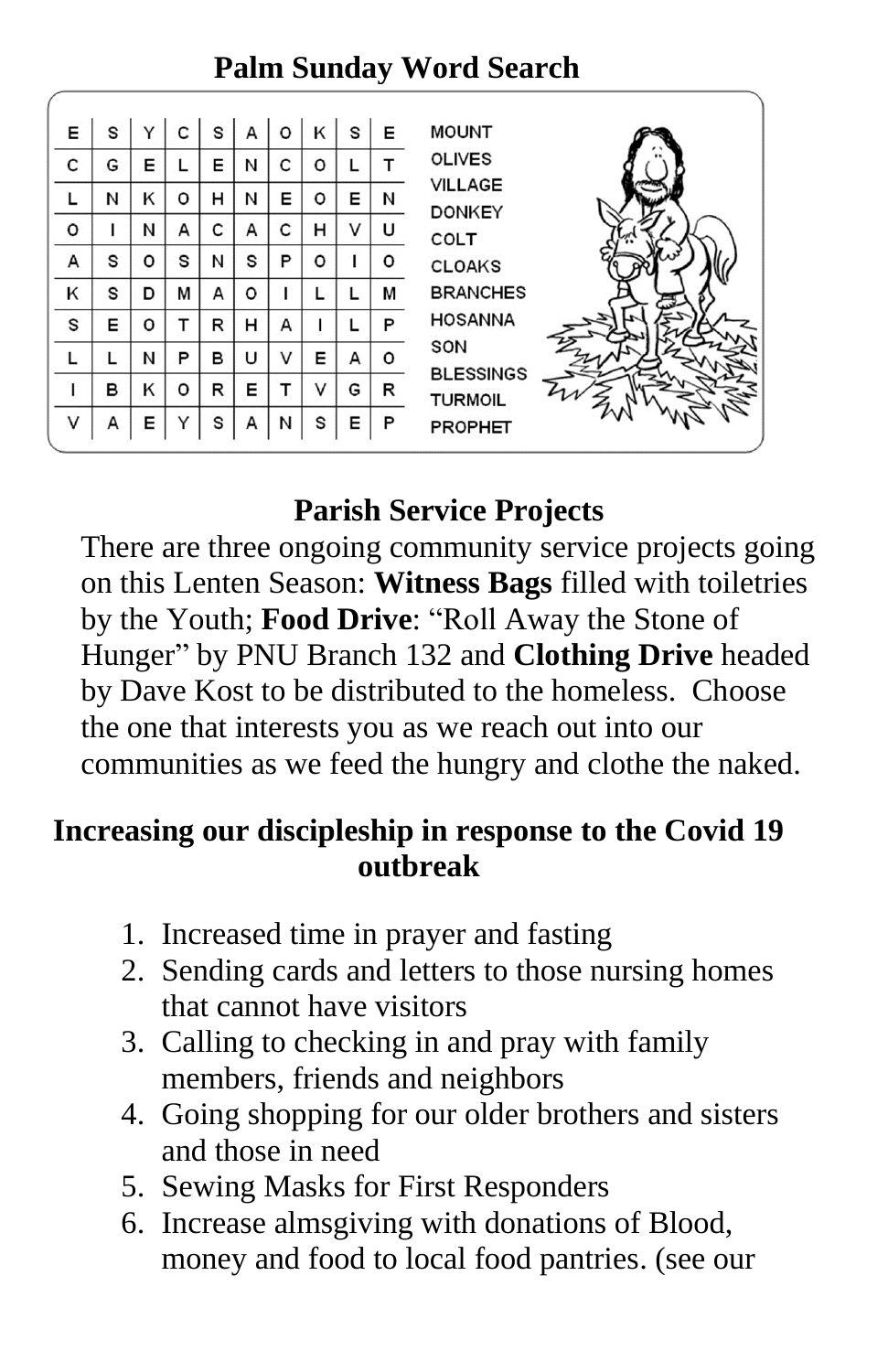# **Palm Sunday Word Search**

| Е | s | $\checkmark$ | C            | s | А | о | K       | s | E | <b>MOUNT</b>                       |
|---|---|--------------|--------------|---|---|---|---------|---|---|------------------------------------|
| с | G | Е            |              | Е | N | с | $\circ$ |   |   | <b>OLIVES</b>                      |
| L | N | ĸ            | o            | н | N | Е | $\circ$ | Е | И | <b>VILLAGE</b><br><b>DONKEY</b>    |
| o |   | N            | А            | с | A | с | н       | v | U | COLT                               |
| A | s | o            | s            | N | s | P | $\circ$ |   | о | <b>CLOAKS</b>                      |
| κ | s | D            | М            | A | o |   |         |   | м | <b>BRANCHES</b>                    |
| s | Е | o            | т            | R | н | A |         |   | P | <b>HOSANNA</b>                     |
| L | L | N            | P            | в | U | v | E       | А | o | SON                                |
| ı | в | κ            | o            | R | Е | т | V       | G | R | <b>BLESSINGS</b><br><b>TURMOIL</b> |
| V | A | Е            | $\checkmark$ | s | A | N | s       | E | P | <b>PROPHET</b>                     |

# **Parish Service Projects**

There are three ongoing community service projects going on this Lenten Season: **Witness Bags** filled with toiletries by the Youth; **Food Drive**: "Roll Away the Stone of Hunger" by PNU Branch 132 and **Clothing Drive** headed by Dave Kost to be distributed to the homeless. Choose the one that interests you as we reach out into our communities as we feed the hungry and clothe the naked.

# **Increasing our discipleship in response to the Covid 19 outbreak**

- 1. Increased time in prayer and fasting
- 2. Sending cards and letters to those nursing homes that cannot have visitors
- 3. Calling to checking in and pray with family members, friends and neighbors
- 4. Going shopping for our older brothers and sisters and those in need
- 5. Sewing Masks for First Responders
- 6. Increase almsgiving with donations of Blood, money and food to local food pantries. (see our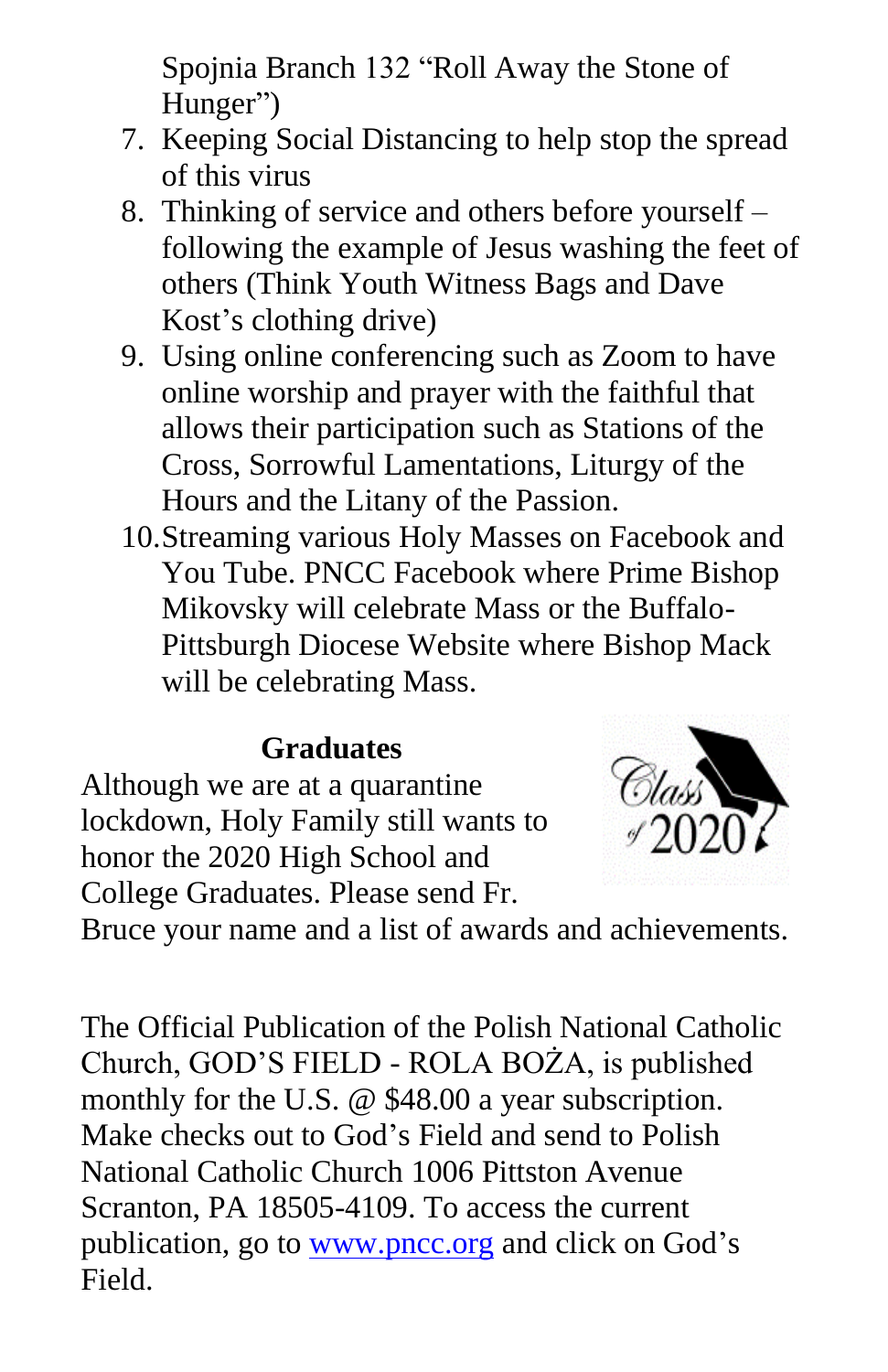Spojnia Branch 132 "Roll Away the Stone of Hunger")

- 7. Keeping Social Distancing to help stop the spread of this virus
- 8. Thinking of service and others before yourself following the example of Jesus washing the feet of others (Think Youth Witness Bags and Dave Kost's clothing drive)
- 9. Using online conferencing such as Zoom to have online worship and prayer with the faithful that allows their participation such as Stations of the Cross, Sorrowful Lamentations, Liturgy of the Hours and the Litany of the Passion.
- 10.Streaming various Holy Masses on Facebook and You Tube. PNCC Facebook where Prime Bishop Mikovsky will celebrate Mass or the Buffalo-Pittsburgh Diocese Website where Bishop Mack will be celebrating Mass.

# **Graduates**

Although we are at a quarantine lockdown, Holy Family still wants to honor the 2020 High School and College Graduates. Please send Fr.



Bruce your name and a list of awards and achievements.

The Official Publication of the Polish National Catholic Church, GOD'S FIELD - ROLA BOŻA, is published monthly for the U.S. @ \$48.00 a year subscription. Make checks out to God's Field and send to Polish National Catholic Church 1006 Pittston Avenue Scranton, PA 18505-4109. To access the current publication, go to [www.pncc.org](http://www.pncc.org/) and click on God's **Field**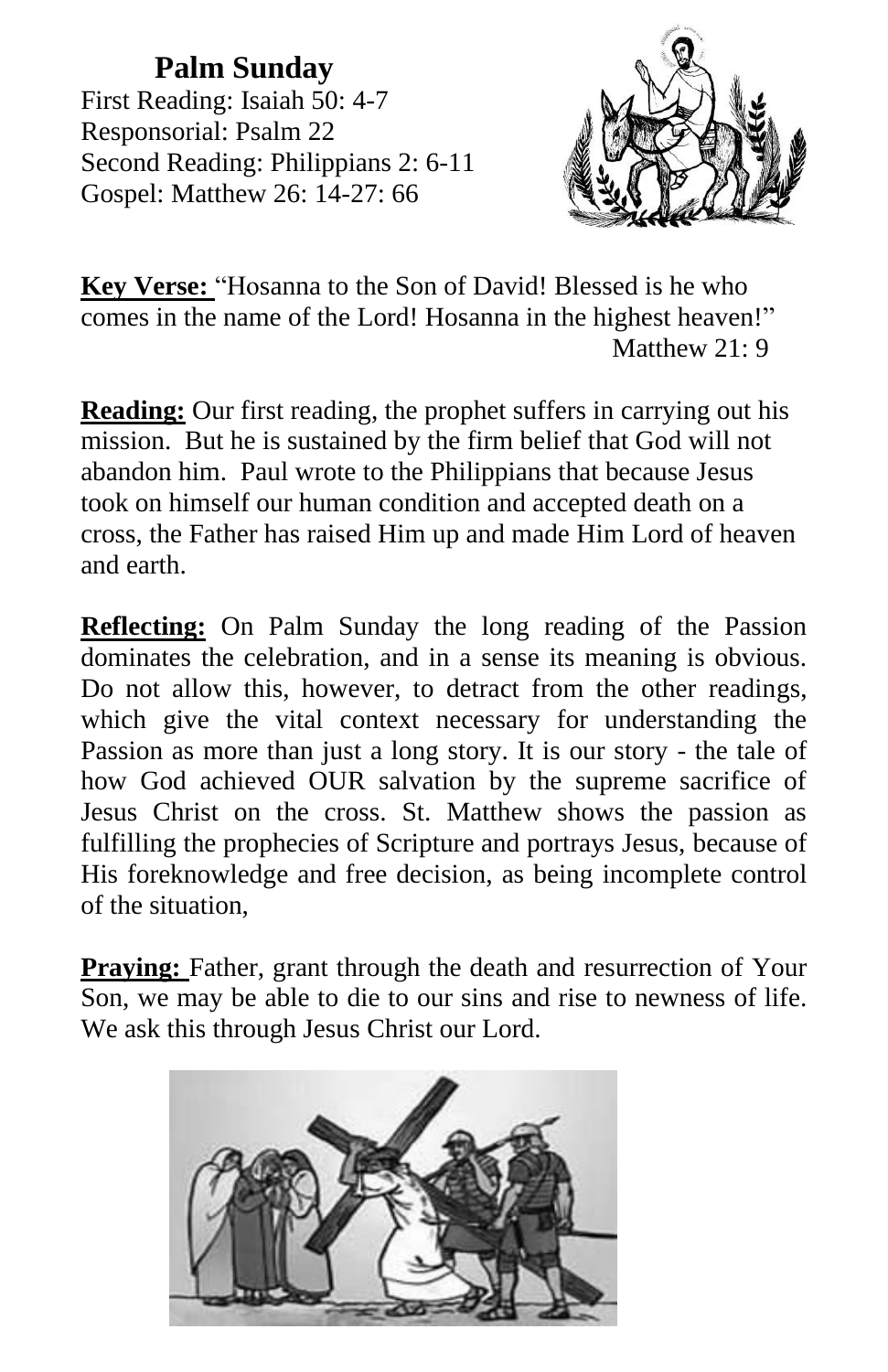# **Palm Sunday**

First Reading: Isaiah 50: 4-7 Responsorial: Psalm 22 Second Reading: Philippians 2: 6-11 Gospel: Matthew 26: 14-27: 66



**Key Verse:** "Hosanna to the Son of David! Blessed is he who comes in the name of the Lord! Hosanna in the highest heaven!" Matthew 21: 9

**Reading:** Our first reading, the prophet suffers in carrying out his mission. But he is sustained by the firm belief that God will not abandon him. Paul wrote to the Philippians that because Jesus took on himself our human condition and accepted death on a cross, the Father has raised Him up and made Him Lord of heaven and earth.

**Reflecting:** On Palm Sunday the long reading of the Passion dominates the celebration, and in a sense its meaning is obvious. Do not allow this, however, to detract from the other readings, which give the vital context necessary for understanding the Passion as more than just a long story. It is our story - the tale of how God achieved OUR salvation by the supreme sacrifice of Jesus Christ on the cross. St. Matthew shows the passion as fulfilling the prophecies of Scripture and portrays Jesus, because of His foreknowledge and free decision, as being incomplete control of the situation,

**Praying:** Father, grant through the death and resurrection of Your Son, we may be able to die to our sins and rise to newness of life. We ask this through Jesus Christ our Lord.

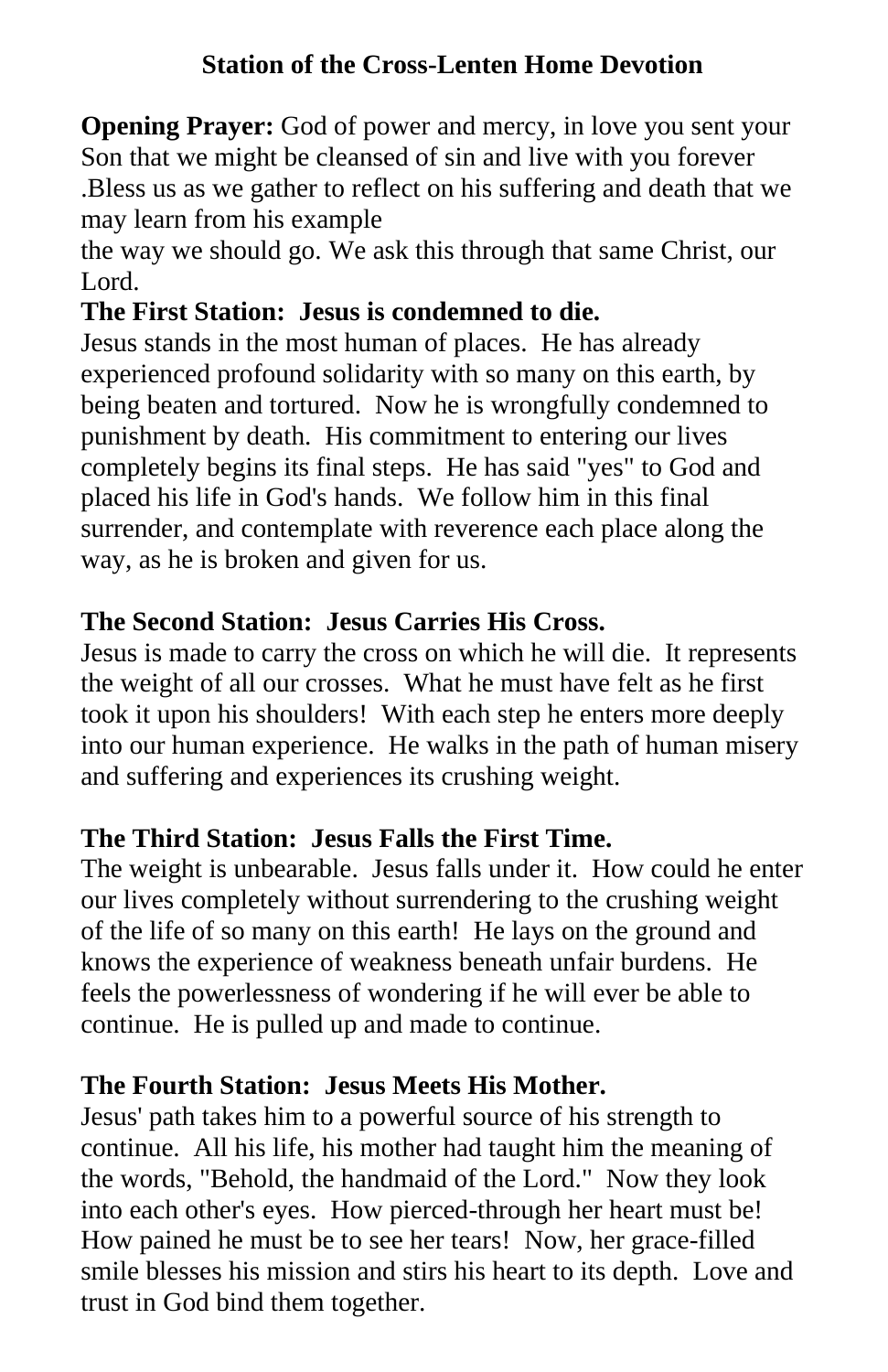## **Station of the Cross-Lenten Home Devotion**

**Opening Prayer:** God of power and mercy, in love you sent your Son that we might be cleansed of sin and live with you forever .Bless us as we gather to reflect on his suffering and death that we may learn from his example

the way we should go. We ask this through that same Christ, our Lord.

### **The First Station: Jesus is condemned to die.**

Jesus stands in the most human of places. He has already experienced profound solidarity with so many on this earth, by being beaten and tortured. Now he is wrongfully condemned to punishment by death. His commitment to entering our lives completely begins its final steps. He has said "yes" to God and placed his life in God's hands. We follow him in this final surrender, and contemplate with reverence each place along the way, as he is broken and given for us.

### **The Second Station: Jesus Carries His Cross.**

Jesus is made to carry the cross on which he will die. It represents the weight of all our crosses. What he must have felt as he first took it upon his shoulders! With each step he enters more deeply into our human experience. He walks in the path of human misery and suffering and experiences its crushing weight.

## **The Third Station: Jesus Falls the First Time.**

The weight is unbearable. Jesus falls under it. How could he enter our lives completely without surrendering to the crushing weight of the life of so many on this earth! He lays on the ground and knows the experience of weakness beneath unfair burdens. He feels the powerlessness of wondering if he will ever be able to continue. He is pulled up and made to continue.

## **The Fourth Station: Jesus Meets His Mother.**

Jesus' path takes him to a powerful source of his strength to continue. All his life, his mother had taught him the meaning of the words, "Behold, the handmaid of the Lord." Now they look into each other's eyes. How pierced-through her heart must be! How pained he must be to see her tears! Now, her grace-filled smile blesses his mission and stirs his heart to its depth. Love and trust in God bind them together.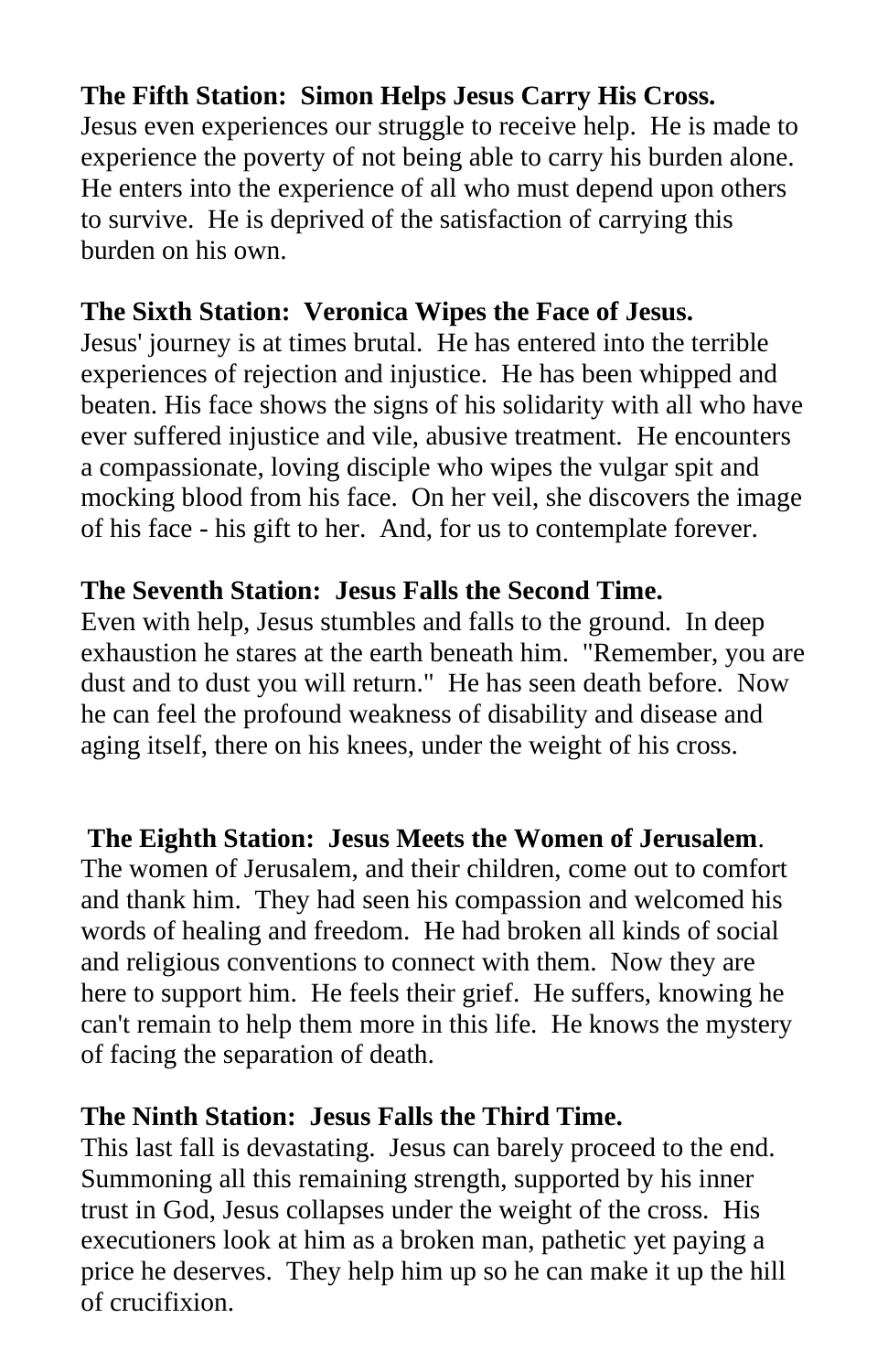## **The Fifth Station: Simon Helps Jesus Carry His Cross.**

Jesus even experiences our struggle to receive help. He is made to experience the poverty of not being able to carry his burden alone. He enters into the experience of all who must depend upon others to survive. He is deprived of the satisfaction of carrying this burden on his own.

### **The Sixth Station: Veronica Wipes the Face of Jesus.**

Jesus' journey is at times brutal. He has entered into the terrible experiences of rejection and injustice. He has been whipped and beaten. His face shows the signs of his solidarity with all who have ever suffered injustice and vile, abusive treatment. He encounters a compassionate, loving disciple who wipes the vulgar spit and mocking blood from his face. On her veil, she discovers the image of his face - his gift to her. And, for us to contemplate forever.

### **The Seventh Station: Jesus Falls the Second Time.**

Even with help, Jesus stumbles and falls to the ground. In deep exhaustion he stares at the earth beneath him. "Remember, you are dust and to dust you will return." He has seen death before. Now he can feel the profound weakness of disability and disease and aging itself, there on his knees, under the weight of his cross.

## **The Eighth Station: Jesus Meets the Women of Jerusalem**.

The women of Jerusalem, and their children, come out to comfort and thank him. They had seen his compassion and welcomed his words of healing and freedom. He had broken all kinds of social and religious conventions to connect with them. Now they are here to support him. He feels their grief. He suffers, knowing he can't remain to help them more in this life. He knows the mystery of facing the separation of death.

### **The Ninth Station: Jesus Falls the Third Time.**

This last fall is devastating. Jesus can barely proceed to the end. Summoning all this remaining strength, supported by his inner trust in God, Jesus collapses under the weight of the cross. His executioners look at him as a broken man, pathetic yet paying a price he deserves. They help him up so he can make it up the hill of crucifixion.